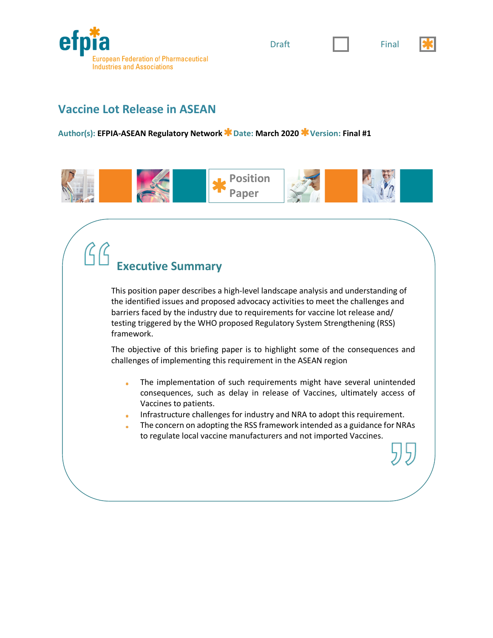







### **Vaccine Lot Release in ASEAN**

**Author(s): EFPIA-ASEAN Regulatory Network Date: March 2020 Version: Final #1**



# **Executive Summary**

This position paper describes a high-level landscape analysis and understanding of the identified issues and proposed advocacy activities to meet the challenges and barriers faced by the industry due to requirements for vaccine lot release and/ testing triggered by the WHO proposed Regulatory System Strengthening (RSS) framework.

The objective of this briefing paper is to highlight some of the consequences and challenges of implementing this requirement in the ASEAN region

- The implementation of such requirements might have several unintended á. consequences, such as delay in release of Vaccines, ultimately access of Vaccines to patients.
- Infrastructure challenges for industry and NRA to adopt this requirement.
- The concern on adopting the RSS framework intended as a guidance for NRAs to regulate local vaccine manufacturers and not imported Vaccines.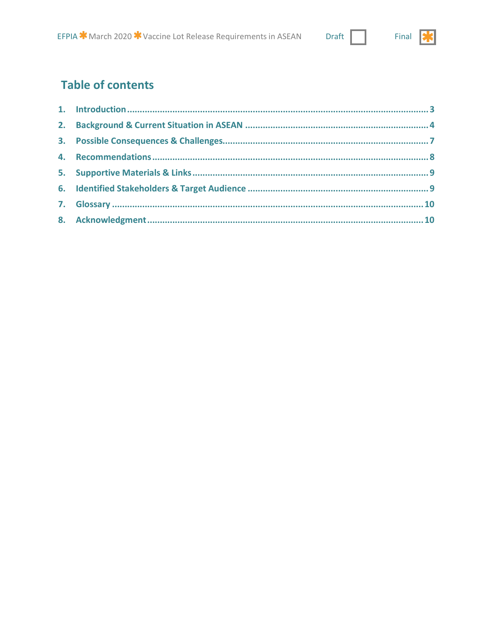#### **Draft**



## **Table of contents**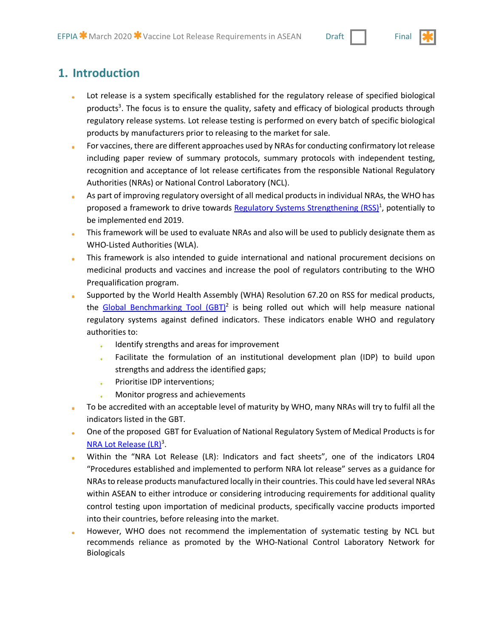### **1. Introduction**

- Lot release is a system specifically established for the regulatory release of specified biological products<sup>3</sup>. The focus is to ensure the quality, safety and efficacy of biological products through regulatory release systems. Lot release testing is performed on every batch of specific biological products by manufacturers prior to releasing to the market for sale.
- For vaccines, there are different approaches used by NRAs for conducting confirmatory lot release including paper review of summary protocols, summary protocols with independent testing, recognition and acceptance of lot release certificates from the responsible National Regulatory Authorities (NRAs) or National Control Laboratory (NCL).
- As part of improving regulatory oversight of all medical products in individual NRAs, the WHO has  $\mathbf{R}$ proposed a framework to drive towards Regulatory Systems Strengthening (RSS)<sup>1</sup>, potentially to be implemented end 2019.
- This framework will be used to evaluate NRAs and also will be used to publicly designate them as WHO-Listed Authorities (WLA).
- This framework is also intended to guide international and national procurement decisions on  $\star$ medicinal products and vaccines and increase the pool of regulators contributing to the WHO Prequalification program.
- Supported by the World Health Assembly (WHA) Resolution 67.20 on RSS for medical products, the Global Benchmarking Tool  $(GBT)^2$  is being rolled out which will help measure national regulatory systems against defined indicators. These indicators enable WHO and regulatory authorities to:
	- Identify strengths and areas for improvement  $\ast$
	- Facilitate the formulation of an institutional development plan (IDP) to build upon strengths and address the identified gaps;
	- Prioritise IDP interventions;  $\star$
	- Monitor progress and achievements
- To be accredited with an acceptable level of maturity by WHO, many NRAs will try to fulfil all the indicators listed in the GBT.
- One of the proposed GBT for Evaluation of National Regulatory System of Medical Products is for ä. NRA Lot Release (LR)<sup>3</sup>.
- Within the "NRA Lot Release (LR): Indicators and fact sheets", one of the indicators LR04 "Procedures established and implemented to perform NRA lot release" serves as a guidance for NRAs to release products manufactured locally in their countries. This could have led several NRAs within ASEAN to either introduce or considering introducing requirements for additional quality control testing upon importation of medicinal products, specifically vaccine products imported into their countries, before releasing into the market.
- However, WHO does not recommend the implementation of systematic testing by NCL but recommends reliance as promoted by the WHO-National Control Laboratory Network for Biologicals

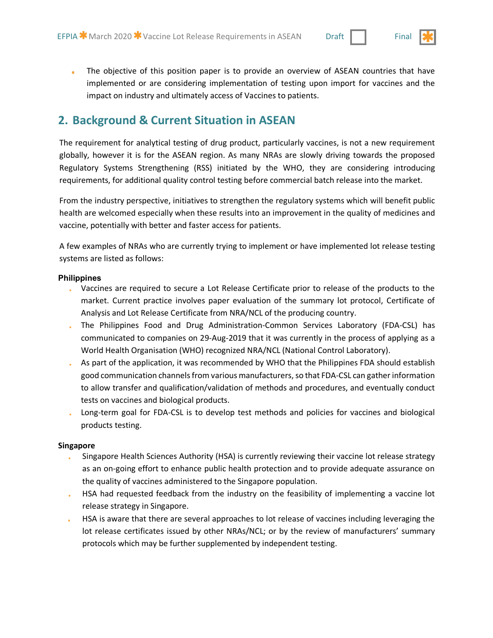

The objective of this position paper is to provide an overview of ASEAN countries that have implemented or are considering implementation of testing upon import for vaccines and the impact on industry and ultimately access of Vaccines to patients.

### **2. Background & Current Situation in ASEAN**

The requirement for analytical testing of drug product, particularly vaccines, is not a new requirement globally, however it is for the ASEAN region. As many NRAs are slowly driving towards the proposed Regulatory Systems Strengthening (RSS) initiated by the WHO, they are considering introducing requirements, for additional quality control testing before commercial batch release into the market.

From the industry perspective, initiatives to strengthen the regulatory systems which will benefit public health are welcomed especially when these results into an improvement in the quality of medicines and vaccine, potentially with better and faster access for patients.

A few examples of NRAs who are currently trying to implement or have implemented lot release testing systems are listed as follows:

#### **Philippines**

- Vaccines are required to secure a Lot Release Certificate prior to release of the products to the market. Current practice involves paper evaluation of the summary lot protocol, Certificate of Analysis and Lot Release Certificate from NRA/NCL of the producing country.
- The Philippines Food and Drug Administration-Common Services Laboratory (FDA-CSL) has communicated to companies on 29-Aug-2019 that it was currently in the process of applying as a World Health Organisation (WHO) recognized NRA/NCL (National Control Laboratory).
- As part of the application, it was recommended by WHO that the Philippines FDA should establish good communication channels from various manufacturers, so that FDA-CSL can gather information to allow transfer and qualification/validation of methods and procedures, and eventually conduct tests on vaccines and biological products.
- Long-term goal for FDA-CSL is to develop test methods and policies for vaccines and biological products testing.

#### **Singapore**

- Singapore Health Sciences Authority (HSA) is currently reviewing their vaccine lot release strategy as an on-going effort to enhance public health protection and to provide adequate assurance on the quality of vaccines administered to the Singapore population.
- HSA had requested feedback from the industry on the feasibility of implementing a vaccine lot release strategy in Singapore.
- HSA is aware that there are several approaches to lot release of vaccines including leveraging the lot release certificates issued by other NRAs/NCL; or by the review of manufacturers' summary protocols which may be further supplemented by independent testing.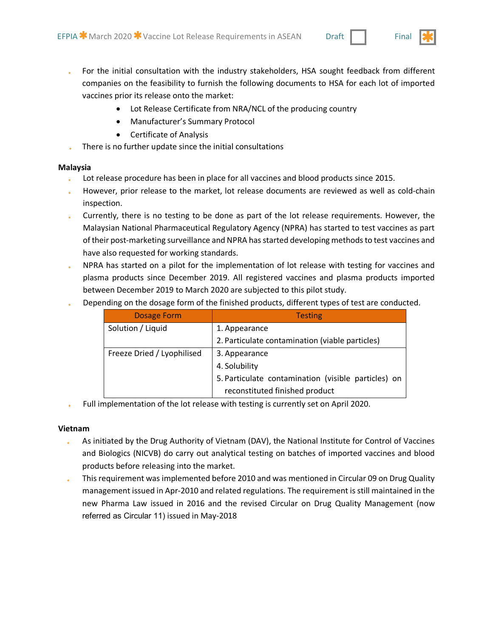- For the initial consultation with the industry stakeholders, HSA sought feedback from different companies on the feasibility to furnish the following documents to HSA for each lot of imported vaccines prior its release onto the market:
	- Lot Release Certificate from NRA/NCL of the producing country
	- Manufacturer's Summary Protocol
	- Certificate of Analysis
- There is no further update since the initial consultations

#### **Malaysia**

- Lot release procedure has been in place for all vaccines and blood products since 2015.
- However, prior release to the market, lot release documents are reviewed as well as cold-chain inspection.
- Currently, there is no testing to be done as part of the lot release requirements. However, the Malaysian National Pharmaceutical Regulatory Agency (NPRA) has started to test vaccines as part of their post-marketing surveillance and NPRA has started developing methods to test vaccines and have also requested for working standards.
- NPRA has started on a pilot for the implementation of lot release with testing for vaccines and plasma products since December 2019. All registered vaccines and plasma products imported between December 2019 to March 2020 are subjected to this pilot study.
- Depending on the dosage form of the finished products, different types of test are conducted.

| <b>Dosage Form</b>         | <b>Testing</b>                                      |
|----------------------------|-----------------------------------------------------|
| Solution / Liquid          | 1. Appearance                                       |
|                            | 2. Particulate contamination (viable particles)     |
| Freeze Dried / Lyophilised | 3. Appearance                                       |
|                            | 4. Solubility                                       |
|                            | 5. Particulate contamination (visible particles) on |
|                            | reconstituted finished product                      |

Full implementation of the lot release with testing is currently set on April 2020.

### **Vietnam**

- As initiated by the Drug Authority of Vietnam (DAV), the National Institute for Control of Vaccines and Biologics (NICVB) do carry out analytical testing on batches of imported vaccines and blood products before releasing into the market.
- This requirement was implemented before 2010 and was mentioned in Circular 09 on Drug Quality management issued in Apr-2010 and related regulations. The requirement is still maintained in the new Pharma Law issued in 2016 and the revised Circular on Drug Quality Management (now referred as Circular 11) issued in May-2018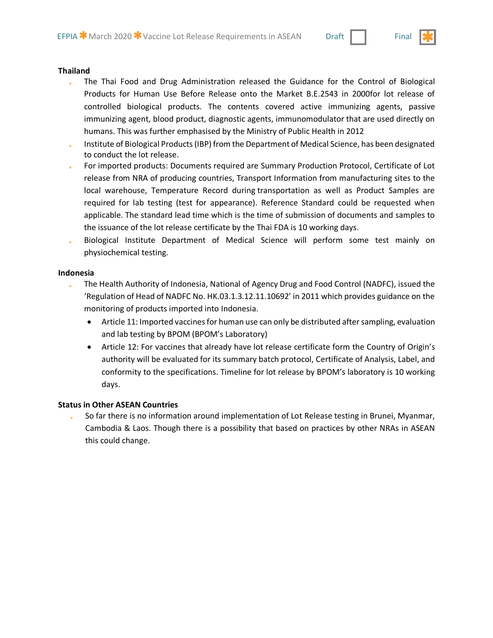

#### **Thailand**

- The Thai Food and Drug Administration released the Guidance for the Control of Biological ú. Products for Human Use Before Release onto the Market B.E.2543 in 2000for lot release of controlled biological products. The contents covered active immunizing agents, passive immunizing agent, blood product, diagnostic agents, immunomodulator that are used directly on humans. This was further emphasised by the Ministry of Public Health in 2012
- Institute of Biological Products (IBP) from the Department of Medical Science, has been designated to conduct the lot release.
- For imported products: Documents required are Summary Production Protocol, Certificate of Lot release from NRA of producing countries, Transport Information from manufacturing sites to the local warehouse, Temperature Record during transportation as well as Product Samples are required for lab testing (test for appearance). Reference Standard could be requested when applicable. The standard lead time which is the time of submission of documents and samples to the issuance of the lot release certificate by the Thai FDA is 10 working days.
- Biological Institute Department of Medical Science will perform some test mainly on physiochemical testing.

#### **Indonesia**

- The Health Authority of Indonesia, National of Agency Drug and Food Control (NADFC), issued the 'Regulation of Head of NADFC No. HK.03.1.3.12.11.10692' in 2011 which provides guidance on the monitoring of products imported into Indonesia.
	- Article 11: Imported vaccines for human use can only be distributed after sampling, evaluation and lab testing by BPOM (BPOM's Laboratory)
	- Article 12: For vaccines that already have lot release certificate form the Country of Origin's authority will be evaluated for its summary batch protocol, Certificate of Analysis, Label, and conformity to the specifications. Timeline for lot release by BPOM's laboratory is 10 working days.

#### **Status in Other ASEAN Countries**

So far there is no information around implementation of Lot Release testing in Brunei, Myanmar, Cambodia & Laos. Though there is a possibility that based on practices by other NRAs in ASEAN this could change.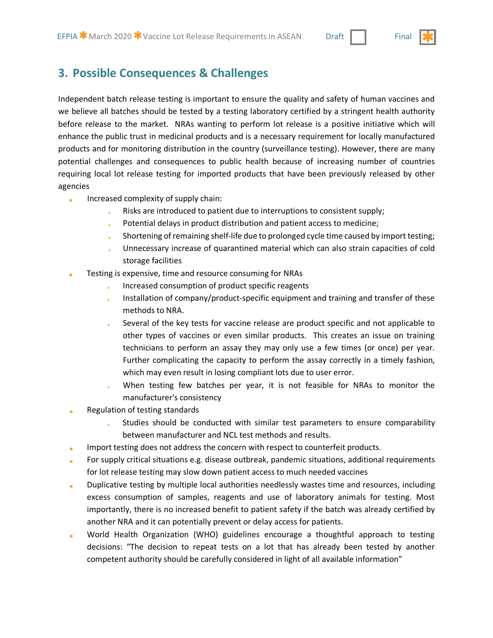

Independent batch release testing is important to ensure the quality and safety of human vaccines and we believe all batches should be tested by a testing laboratory certified by a stringent health authority before release to the market. NRAs wanting to perform lot release is a positive initiative which will enhance the public trust in medicinal products and is a necessary requirement for locally manufactured products and for monitoring distribution in the country (surveillance testing). However, there are many potential challenges and consequences to public health because of increasing number of countries requiring local lot release testing for imported products that have been previously released by other agencies

- Increased complexity of supply chain: ä.
	- Risks are introduced to patient due to interruptions to consistent supply;
	- Potential delays in product distribution and patient access to medicine;
	- Shortening of remaining shelf-life due to prolonged cycle time caused by import testing;
	- Unnecessary increase of quarantined material which can also strain capacities of cold storage facilities
- Testing is expensive, time and resource consuming for NRAs
	- Increased consumption of product specific reagents
	- Installation of company/product-specific equipment and training and transfer of these methods to NRA.
	- Several of the key tests for vaccine release are product specific and not applicable to other types of vaccines or even similar products. This creates an issue on training technicians to perform an assay they may only use a few times (or once) per year. Further complicating the capacity to perform the assay correctly in a timely fashion, which may even result in losing compliant lots due to user error.
	- When testing few batches per year, it is not feasible for NRAs to monitor the  $\star$ manufacturer's consistency
- Regulation of testing standards
	- Studies should be conducted with similar test parameters to ensure comparability between manufacturer and NCL test methods and results.
- Import testing does not address the concern with respect to counterfeit products.
- For supply critical situations e.g. disease outbreak, pandemic situations, additional requirements for lot release testing may slow down patient access to much needed vaccines
- Duplicative testing by multiple local authorities needlessly wastes time and resources, including excess consumption of samples, reagents and use of laboratory animals for testing. Most importantly, there is no increased benefit to patient safety if the batch was already certified by another NRA and it can potentially prevent or delay access for patients.
- World Health Organization (WHO) guidelines encourage a thoughtful approach to testing decisions: "The decision to repeat tests on a lot that has already been tested by another competent authority should be carefully considered in light of all available information"

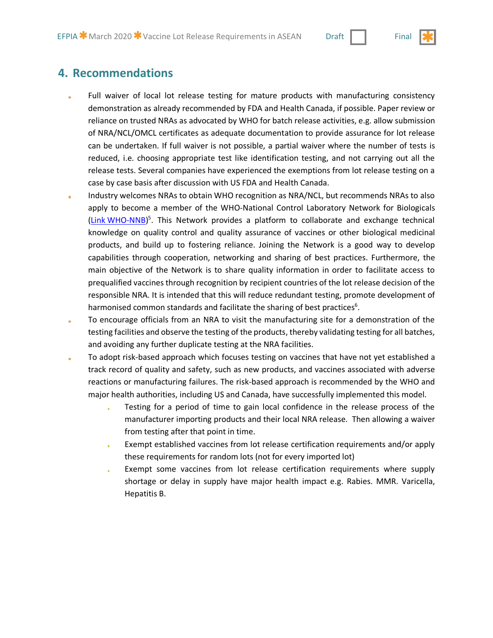

### **4. Recommendations**

- Full waiver of local lot release testing for mature products with manufacturing consistency demonstration as already recommended by FDA and Health Canada, if possible. Paper review or reliance on trusted NRAs as advocated by WHO for batch release activities, e.g. allow submission of NRA/NCL/OMCL certificates as adequate documentation to provide assurance for lot release can be undertaken. If full waiver is not possible, a partial waiver where the number of tests is reduced, i.e. choosing appropriate test like identification testing, and not carrying out all the release tests. Several companies have experienced the exemptions from lot release testing on a case by case basis after discussion with US FDA and Health Canada.
- Industry welcomes NRAs to obtain WHO recognition as NRA/NCL, but recommends NRAs to also apply to become a member of the WHO-National Control Laboratory Network for Biologicals (Link WHO-NNB)<sup>5</sup>. This Network provides a platform to collaborate and exchange technical knowledge on quality control and quality assurance of vaccines or other biological medicinal products, and build up to fostering reliance. Joining the Network is a good way to develop capabilities through cooperation, networking and sharing of best practices. Furthermore, the main objective of the Network is to share quality information in order to facilitate access to prequalified vaccines through recognition by recipient countries of the lot release decision of the responsible NRA. It is intended that this will reduce redundant testing, promote development of harmonised common standards and facilitate the sharing of best practices<sup>6</sup>.
- To encourage officials from an NRA to visit the manufacturing site for a demonstration of the testing facilities and observe the testing of the products, thereby validating testing for all batches, and avoiding any further duplicate testing at the NRA facilities.
- To adopt risk-based approach which focuses testing on vaccines that have not yet established a track record of quality and safety, such as new products, and vaccines associated with adverse reactions or manufacturing failures. The risk-based approach is recommended by the WHO and major health authorities, including US and Canada, have successfully implemented this model.
	- Testing for a period of time to gain local confidence in the release process of the manufacturer importing products and their local NRA release. Then allowing a waiver from testing after that point in time.
	- Exempt established vaccines from lot release certification requirements and/or apply these requirements for random lots (not for every imported lot)
	- Exempt some vaccines from lot release certification requirements where supply shortage or delay in supply have major health impact e.g. Rabies. MMR. Varicella, Hepatitis B.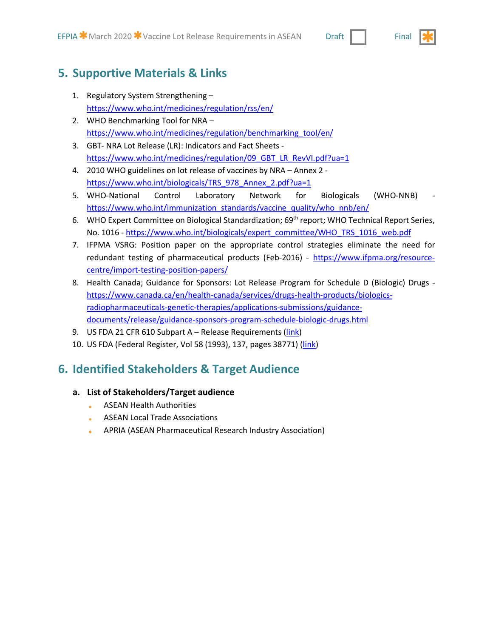### **5. Supportive Materials & Links**

- 1. Regulatory System Strengthening https://www.who.int/medicines/regulation/rss/en/
- 2. WHO Benchmarking Tool for NRA https://www.who.int/medicines/regulation/benchmarking\_tool/en/
- 3. GBT- NRA Lot Release (LR): Indicators and Fact Sheets https://www.who.int/medicines/regulation/09\_GBT\_LR\_RevVI.pdf?ua=1
- 4. 2010 WHO guidelines on lot release of vaccines by NRA Annex 2 https://www.who.int/biologicals/TRS 978 Annex 2.pdf?ua=1
- 5. WHO-National Control Laboratory Network for Biologicals (WHO-NNB) https://www.who.int/immunization\_standards/vaccine\_quality/who\_nnb/en/
- 6. WHO Expert Committee on Biological Standardization; 69<sup>th</sup> report; WHO Technical Report Series, No. 1016 - https://www.who.int/biologicals/expert\_committee/WHO\_TRS\_1016\_web.pdf
- 7. IFPMA VSRG: Position paper on the appropriate control strategies eliminate the need for redundant testing of pharmaceutical products (Feb-2016) - https://www.ifpma.org/resourcecentre/import-testing-position-papers/
- 8. Health Canada; Guidance for Sponsors: Lot Release Program for Schedule D (Biologic) Drugs https://www.canada.ca/en/health-canada/services/drugs-health-products/biologicsradiopharmaceuticals-genetic-therapies/applications-submissions/guidancedocuments/release/guidance-sponsors-program-schedule-biologic-drugs.html
- 9. US FDA 21 CFR 610 Subpart A Release Requirements (link)
- 10. US FDA (Federal Register, Vol 58 (1993), 137, pages 38771) (link)

### **6. Identified Stakeholders & Target Audience**

#### **a. List of Stakeholders/Target audience**

- ASEAN Health Authorities
- ASEAN Local Trade Associations
- APRIA (ASEAN Pharmaceutical Research Industry Association)